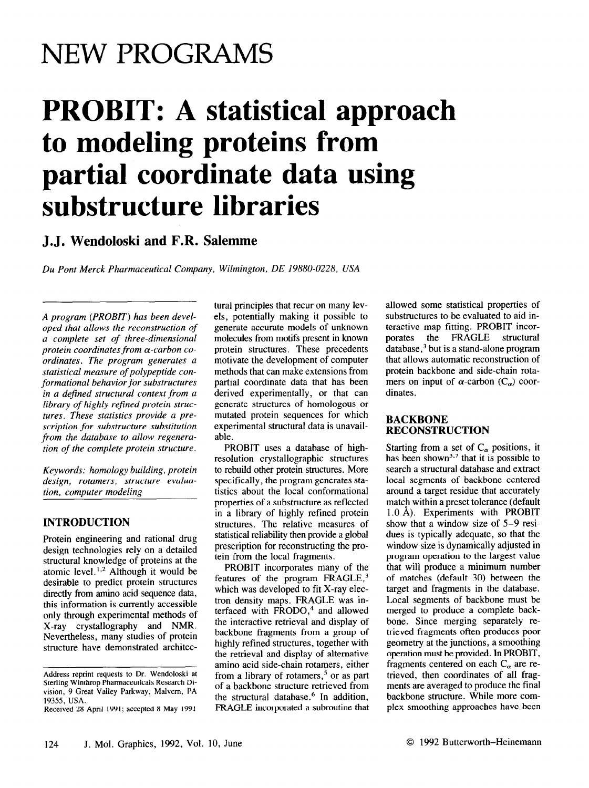## **NEW PROGRAMS**

# **PROBIT: A statistical approach to modeling proteins from partial coordinate data using substructure libraries**

### **J. J. Wendoloski and F.R. Salemme**

*Du Pont Merck Pharmaceutical Company, Wilmington, DE 19880-0228, USA* 

*A program (PROBIT) has been developed that allows the reconstruction of a complete set of three-dimensional protein coordinates from a-carbon coordinates. The program generates a statistical measure of polypeptide conformational behavior for substructures in a defined structural context from a*  library of highly refined protein struc*tures. These statistics provide a prescription for substructure substitution from the database to allow regeneration of the complete protein structure.* 

*Keywords: homology building, protein design, rotamers, structure evaluation, computer modeling* 

#### **INTRODUCTION**

Protein engineering and rational drug design technologies rely on a detailed structural knowledge of proteins at the atomic level.<sup>1,2</sup> Although it would be desirable to predict protein structures directly from amino acid sequence data, this information is currently accessible only through experimental methods of X-ray crystallography and NMR. Nevertheless, many studies of protein structure have demonstrated architectural principles that recur on many levels, potentially making it possible to generate accurate models of unknown molecules from motifs present in known protein structures. These precedents motivate the development of computer methods that can make extensions from partial coordinate data that has been derived experimentally, or that can generate structures of homologous or mutated protein sequences for which experimental structural data is unavailable.

PROBIT uses a database of highresolution crystallographic structures to rebuild other protein structures. More specifically, the program generates statistics about the local conformational properties of a substructure as reflected in a library of highly refined protein structures. The relative measures of statistical reliability then provide a global prescription for reconstructing the protein from the local fragments.

PROBIT incorporates many of the features of the program  $FRAGLE$ ,<sup>3</sup> which was developed to fit X-ray electron density maps. FRAGLE was interfaced with FRODO,<sup>4</sup> and allowed the interactive retrieval and display of backbone fragments from a group of highly refined structures, together with the retrieval and display of alternative amino acid side-chain rotamers, either from a library of rotamers,<sup>5</sup> or as part of a backbone structure retrieved from the structural database.<sup>6</sup> In addition, FRAGLE incorporated a subroutine that allowed some statistical properties of substructures to be evaluated to aid interactive map fitting. PROBIT incor-<br>porates the FRAGLE structural FRAGLE structural database,3 but is a stand-alone program that allows automatic reconstruction of protein backbone and side-chain rotamers on input of  $\alpha$ -carbon (C<sub> $\alpha$ </sub>) coordinates.

#### **BACKBONE RECONSTRUCTION**

Starting from a set of  $C_{\alpha}$  positions, it has been shown<sup>3,7</sup> that it is possible to search a structural database and extract local segments of backbone centered around a target residue that accurately match within a preset tolerance (default 1.0 A). Experiments with PROBIT show that a window size of 5-9 residues is typically adequate, so that the window size is dynamically adjusted in program operation to the largest value that will produce a minimum number of matches (default 30) between the target and fragments in the database. Local segments of backbone must be merged to produce a complete backbone. Since merging separately retrieved fragments often produces poor geometry at the junctions, a smoothing operation must be provided. In PROBIT, fragments centered on each  $C_{\alpha}$  are retrieved, then coordinates of all fragments are averaged to produce the final backbone structure. While more complex smoothing approaches have been

Address reprint requests to Dr. Wendoloski at Sterling Winthrop Pharmaceuticals Research Division, 9 Great Valley Parkway, Malvem, PA 19355, USA.

Received 28 April 1991; accepted 8 May 1991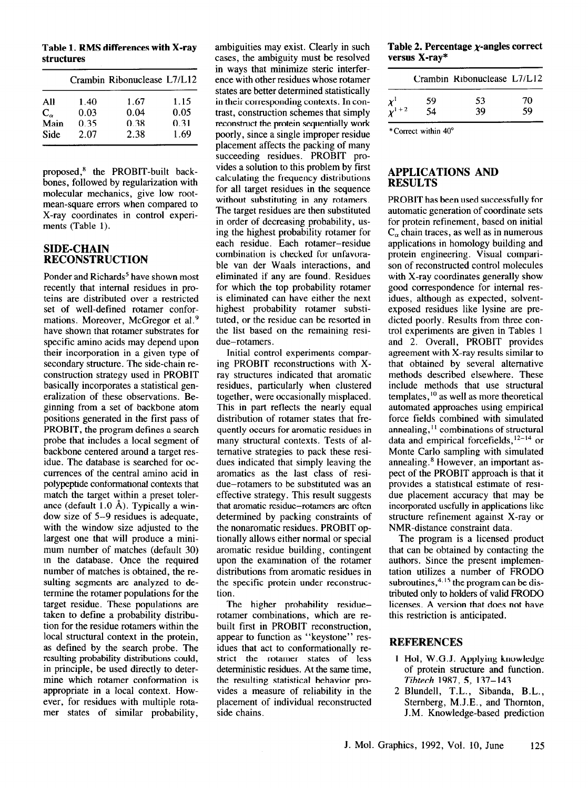**Table 1. RMS differences with X-ray structures** 

| 1.40 | 1.67 | 1.15                        |
|------|------|-----------------------------|
| 0.03 | 0.04 | 0.05                        |
| 0.35 | 0.38 | 0.31                        |
| 2.07 | 2.38 | 1.69                        |
|      |      | Crambin Ribonuclease L7/L12 |

proposed,' the PROBIT-built backbones, followed by regularization with molecular mechanics, give low rootmean-square errors when compared to X-ray coordinates in control experiments (Table 1).

#### **SIDE-CHAIN RECONSTRUCTION**

Ponder and Richards' have shown most recently that internal residues in proteins are distributed over a restricted set of well-defined rotamer conformations. Moreover, McGregor et a1.9 have shown that rotamer substrates for specific amino acids may depend upon their incorporation in a given type of secondary structure. The side-chain reconstruction strategy used in PROBIT basically incorporates a statistical generalization of these observations. Beginning from a set of backbone atom positions generated in the first pass of PROBIT, the program defines a search probe that includes a local segment of backbone centered around a target residue. The database is searched for occurrences of the central amino acid in polypeptide conformational contexts that match the target within a preset tolerance (default  $1.0 \text{ Å}$ ). Typically a window size of 5-9 residues is adequate, with the window size adjusted to the largest one that will produce a minimum number of matches (default 30) in the database. Once the required number of matches is obtained, the resulting segments are analyzed to determine the rotamer populations for the target residue. These populations are taken to define a probability distribution for the residue rotamers within the local structural context in the protein, as defined by the search probe. The resulting probability distributions could, in principle, be used directly to determine which rotamer conformation is appropriate in a local context. However, for residues with multiple rotamer states of similar probability,

ambiguities may exist. Clearly in such cases, the ambiguity must be resolved in ways that minimize steric interference with other residues whose rotamer states are better determined statistically in their corresponding contexts. In contrast, construction schemes that simply reconstruct the protein sequentially work poorly, since a single improper residue placement affects the packing of many succeeding residues. PROBIT provides a solution to this problem by first calculating the frequency distributions for all target residues in the sequence without substituting in any rotamers. The target residues are then substituted in order of decreasing probability, using the highest probability rotamer for each residue. Each rotamer-residue combination is checked for unfavorable van der Waals interactions, and eliminated if any are found. Residues for which the top probability rotamer is eliminated can have either the next highest probability rotamer substituted, or the residue can be resorted in the list based on the remaining residue-rotamers .

Initial control experiments comparing PROBIT reconstructions with Xray structures indicated that aromatic residues, particularly when clustered together, were occasionally misplaced. This in part reflects the nearly equal distribution of rotamer states that frequently occurs for aromatic residues in many structural contexts. Tests of alternative strategies to pack these residues indicated that simply leaving the aromatics as the last class of residue-rotamers to be substituted was an effective strategy. This result suggests that aromatic residue-rotamers are often determined by packing constraints of the nonaromatic residues. PROBIT optionally allows either normal or special aromatic residue building, contingent upon the examination of the rotamer distributions from aromatic residues in the specific protein under reconstruction.

The higher probability residuerotamer combinations, which are rebuilt first in PROBIT reconstruction, appear to function as "keystone" residues that act to conformationally restrict the rotamer states of less deterministic residues. At the same time, the resulting statistical behavior provides a measure of reliability in the placement of individual reconstructed side chains.

**Table 2. Percentage x-angles correct versus X-ray\*** 

|                          |    | Crambin Ribonuclease L7/L12 |    |
|--------------------------|----|-----------------------------|----|
|                          | 59 | 53                          | 70 |
| $\chi^1$<br>$\chi^1$ + 2 | 54 | 39                          | 59 |

\*Correct within 40'

#### **APPLICATIONS AND RESULTS**

PROBIT has been used successfully for automatic generation of coordinate sets for protein refinement, based on initial  $C_{\alpha}$  chain traces, as well as in numerous applications in homology building and protein engineering. Visual comparison of reconstructed control molecules with X-ray coordinates generally show good correspondence for internal residues, although as expected, solventexposed residues like lysine are predicted poorly. Results from three control experiments are given in Tables 1 and 2. Overall, PROBIT provides agreement with X-ray results similar to that obtained by several alternative methods described elsewhere. These include methods that use structural templates,  $^{10}$  as well as more theoretical automated approaches using empirical force fields combined with simulated annealing, $<sup>11</sup>$  combinations of structural</sup> data and empirical forcefields,  $12-14$  or Monte Carlo sampling with simulated annealing.<sup>8</sup> However, an important aspect of the PROBIT approach is that it provides a statistical estimate of residue placement accuracy that may be incorporated usefully in applications like structure refinement against X-ray or NMR-distance constraint data.

The program is a licensed product that can be obtained by contacting the authors. Since the present implementation utilizes a number of FRODO subroutines,  $4.15$  the program can be distributed only to holders of valid FRODO licenses. A version that does not have this restriction is anticipated.

#### **REFERENCES**

- 1 Hol, W.G.J. Applying knowledge of protein structure and function. *Tibtech 1987, 5, 137-143*
- *2* Blundell, T.L., Sibanda, B.L., Stemberg, M.J.E., and Thornton, J.M. Knowledge-based prediction